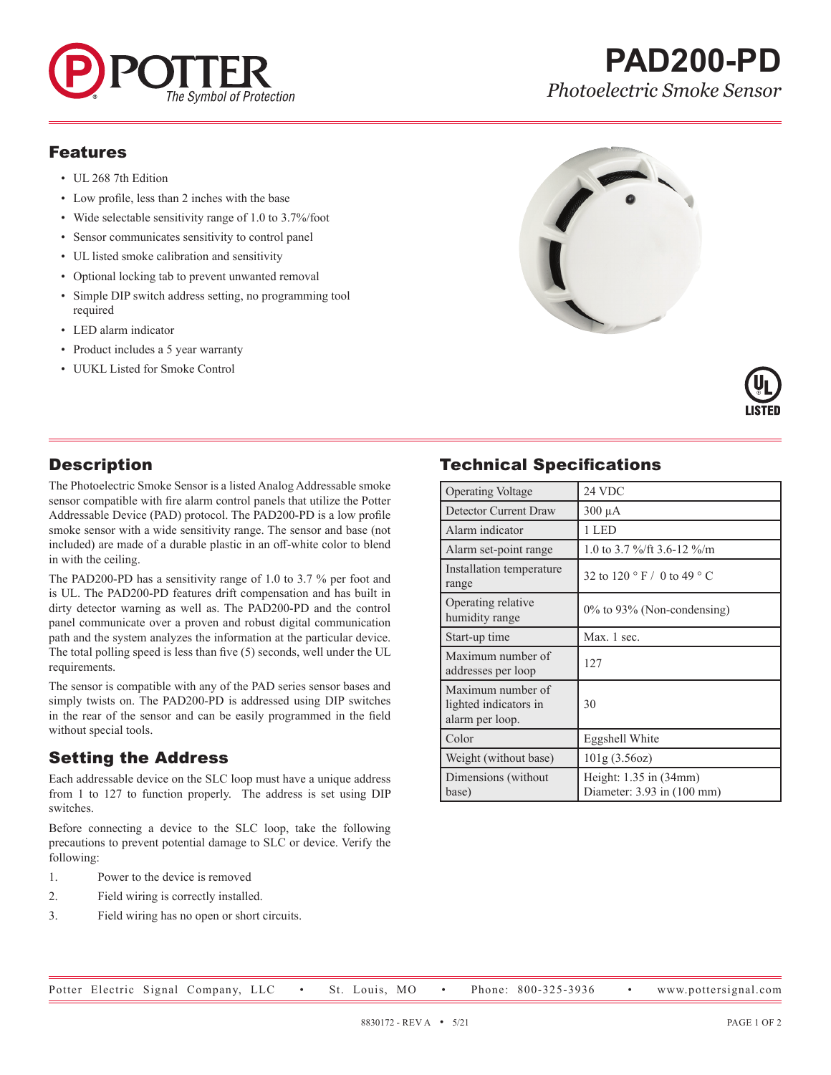

# **PAD200-PD** *Photoelectric Smoke Sensor*

#### Features

- UL 268 7th Edition
- Low profile, less than 2 inches with the base
- Wide selectable sensitivity range of 1.0 to 3.7%/foot
- Sensor communicates sensitivity to control panel
- UL listed smoke calibration and sensitivity
- Optional locking tab to prevent unwanted removal
- Simple DIP switch address setting, no programming tool required
- LED alarm indicator
- Product includes a 5 year warranty
- UUKL Listed for Smoke Control





## **Description**

The Photoelectric Smoke Sensor is a listed Analog Addressable smoke sensor compatible with fire alarm control panels that utilize the Potter Addressable Device (PAD) protocol. The PAD200-PD is a low profile smoke sensor with a wide sensitivity range. The sensor and base (not included) are made of a durable plastic in an off-white color to blend in with the ceiling.

The PAD200-PD has a sensitivity range of 1.0 to 3.7 % per foot and is UL. The PAD200-PD features drift compensation and has built in dirty detector warning as well as. The PAD200-PD and the control panel communicate over a proven and robust digital communication path and the system analyzes the information at the particular device. The total polling speed is less than five (5) seconds, well under the UL requirements.

The sensor is compatible with any of the PAD series sensor bases and simply twists on. The PAD200-PD is addressed using DIP switches in the rear of the sensor and can be easily programmed in the field without special tools.

# Setting the Address

Each addressable device on the SLC loop must have a unique address from 1 to 127 to function properly. The address is set using DIP switches.

Before connecting a device to the SLC loop, take the following precautions to prevent potential damage to SLC or device. Verify the following:

- 1. Power to the device is removed
- 2. Field wiring is correctly installed.
- 3. Field wiring has no open or short circuits.

# Technical Specifications

| <b>Operating Voltage</b>                                      | 24 VDC                                                               |
|---------------------------------------------------------------|----------------------------------------------------------------------|
| Detector Current Draw                                         | $300 \mu A$                                                          |
| Alarm indicator                                               | 1 LED                                                                |
| Alarm set-point range                                         | 1.0 to 3.7 %/ft 3.6-12 %/m                                           |
| Installation temperature<br>range                             | 32 to 120 ° F / 0 to 49 ° C                                          |
| Operating relative<br>humidity range                          | $0\%$ to 93% (Non-condensing)                                        |
| Start-up time                                                 | Max. 1 sec.                                                          |
| Maximum number of<br>addresses per loop                       | 127                                                                  |
| Maximum number of<br>lighted indicators in<br>alarm per loop. | 30                                                                   |
| Color                                                         | Eggshell White                                                       |
| Weight (without base)                                         | 101g(3.56oz)                                                         |
| Dimensions (without<br>base)                                  | Height: $1.35$ in $(34mm)$<br>Diameter: $3.93$ in $(100 \text{ mm})$ |

Potter Electric Signal Company, LLC • St. Louis, MO • Phone: 800-325-3936 • www.pottersignal.com